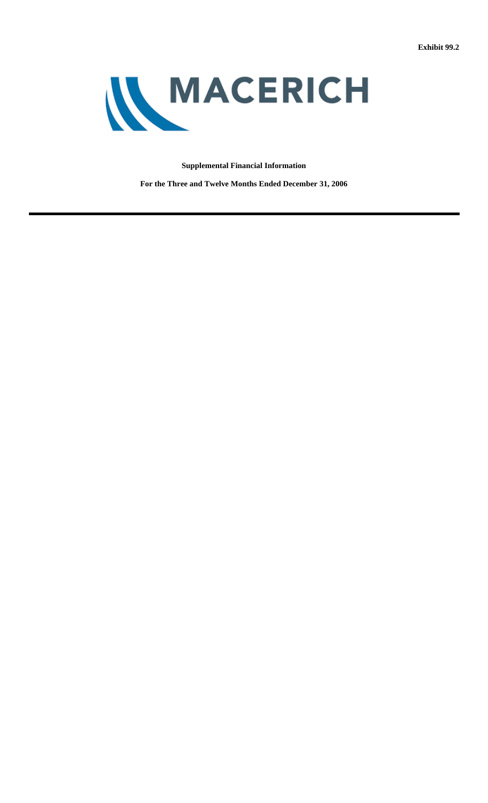

# **Supplemental Financial Information**

**For the Three and Twelve Months Ended December 31, 2006**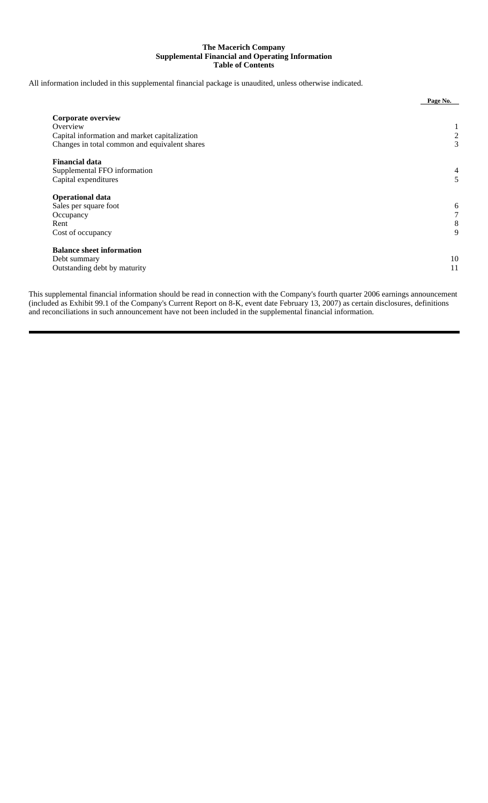# **The Macerich Company Supplemental Financial and Operating Information Table of Contents**

All information included in this supplemental financial package is unaudited, unless otherwise indicated.

|                                               | Page No. |
|-----------------------------------------------|----------|
| <b>Corporate overview</b>                     |          |
| Overview                                      |          |
| Capital information and market capitalization | 2        |
| Changes in total common and equivalent shares | 3        |
| <b>Financial data</b>                         |          |
| Supplemental FFO information                  | 4        |
| Capital expenditures                          | 5        |
| <b>Operational data</b>                       |          |
| Sales per square foot                         | 6        |
| Occupancy                                     |          |
| Rent                                          | 8        |
| Cost of occupancy                             | 9        |
| <b>Balance sheet information</b>              |          |
| Debt summary                                  | 10       |
| Outstanding debt by maturity                  | 11       |
|                                               |          |

This supplemental financial information should be read in connection with the Company's fourth quarter 2006 earnings announcement (included as Exhibit 99.1 of the Company's Current Report on 8-K, event date February 13, 2007) as certain disclosures, definitions and reconciliations in such announcement have not been included in the supplemental financial information.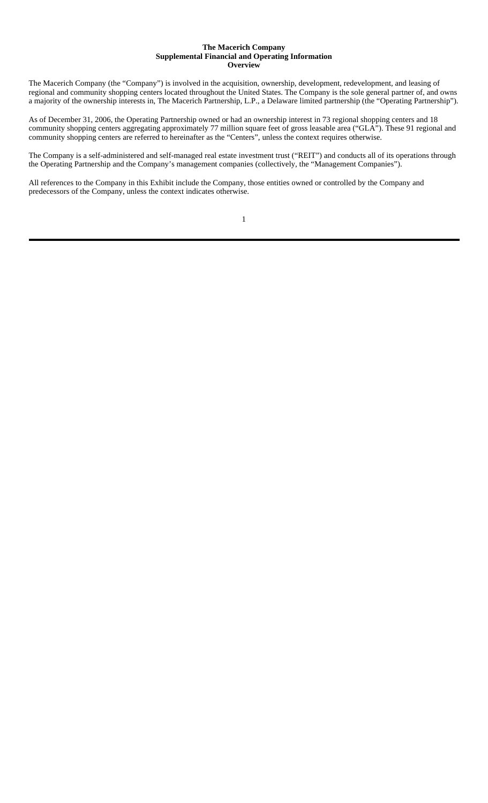#### **The Macerich Company Supplemental Financial and Operating Information Overview**

The Macerich Company (the "Company") is involved in the acquisition, ownership, development, redevelopment, and leasing of regional and community shopping centers located throughout the United States. The Company is the sole general partner of, and owns a majority of the ownership interests in, The Macerich Partnership, L.P., a Delaware limited partnership (the "Operating Partnership").

As of December 31, 2006, the Operating Partnership owned or had an ownership interest in 73 regional shopping centers and 18 community shopping centers aggregating approximately 77 million square feet of gross leasable area ("GLA"). These 91 regional and community shopping centers are referred to hereinafter as the "Centers", unless the context requires otherwise.

The Company is a self-administered and self-managed real estate investment trust ("REIT") and conducts all of its operations through the Operating Partnership and the Company's management companies (collectively, the "Management Companies").

All references to the Company in this Exhibit include the Company, those entities owned or controlled by the Company and predecessors of the Company, unless the context indicates otherwise.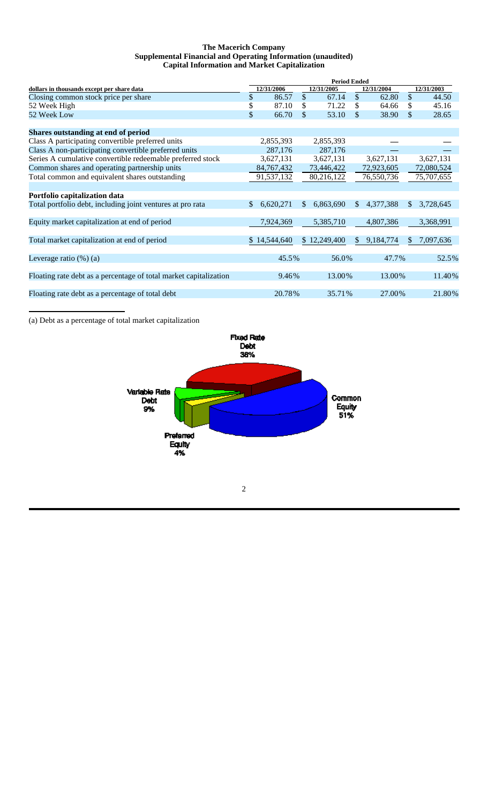### **The Macerich Company Supplemental Financial and Operating Information (unaudited) Capital Information and Market Capitalization**

|                                                                   | <b>Period Ended</b> |                          |              |              |               |            |            |            |  |
|-------------------------------------------------------------------|---------------------|--------------------------|--------------|--------------|---------------|------------|------------|------------|--|
| dollars in thousands except per share data                        |                     | 12/31/2005<br>12/31/2006 |              |              |               | 12/31/2004 | 12/31/2003 |            |  |
| Closing common stock price per share                              | \$                  | 86.57                    | $\mathbb{S}$ | 67.14        | $\mathcal{S}$ | 62.80      | \$         | 44.50      |  |
| 52 Week High                                                      | \$                  | 87.10                    | S            | 71.22        | \$            | 64.66      | S          | 45.16      |  |
| 52 Week Low                                                       | \$                  | 66.70                    | \$           | 53.10        | \$            | 38.90      | \$         | 28.65      |  |
| Shares outstanding at end of period                               |                     |                          |              |              |               |            |            |            |  |
| Class A participating convertible preferred units                 |                     | 2,855,393                |              | 2,855,393    |               |            |            |            |  |
| Class A non-participating convertible preferred units             |                     | 287,176                  |              | 287,176      |               |            |            |            |  |
| Series A cumulative convertible redeemable preferred stock        |                     | 3,627,131                |              | 3,627,131    |               | 3,627,131  |            | 3,627,131  |  |
| Common shares and operating partnership units                     |                     | 84, 767, 432             |              | 73,446,422   |               | 72,923,605 |            | 72,080,524 |  |
| Total common and equivalent shares outstanding                    |                     | 91,537,132               |              | 80,216,122   |               | 76,550,736 |            | 75,707,655 |  |
|                                                                   |                     |                          |              |              |               |            |            |            |  |
| Portfolio capitalization data                                     |                     |                          |              |              |               |            |            |            |  |
| Total portfolio debt, including joint ventures at pro rata        | <sup>\$</sup>       | 6,620,271                | \$.          | 6,863,690    | \$.           | 4,377,388  | \$         | 3,728,645  |  |
|                                                                   |                     |                          |              |              |               |            |            |            |  |
| Equity market capitalization at end of period                     |                     | 7,924,369                |              | 5,385,710    |               | 4,807,386  |            | 3,368,991  |  |
| Total market capitalization at end of period                      |                     | \$14,544,640             |              | \$12,249,400 | \$.           | 9,184,774  | \$.        | 7,097,636  |  |
| Leverage ratio $(\%)$ (a)                                         |                     | 45.5%                    |              | 56.0%        |               | 47.7%      |            | 52.5%      |  |
|                                                                   |                     |                          |              |              |               |            |            |            |  |
| Floating rate debt as a percentage of total market capitalization |                     | 9.46%                    |              | 13.00%       |               | 13.00%     |            | 11.40%     |  |
| Floating rate debt as a percentage of total debt                  |                     | 20.78%                   |              | 35.71%       |               | 27.00%     |            | 21.80%     |  |
|                                                                   |                     |                          |              |              |               |            |            |            |  |

(a) Debt as a percentage of total market capitalization



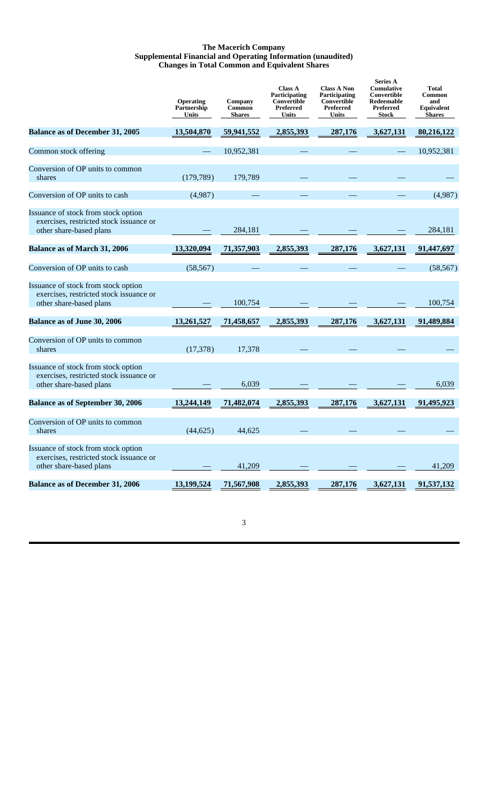## **The Macerich Company Supplemental Financial and Operating Information (unaudited) Changes in Total Common and Equivalent Shares**

|                                                                                                           | Operating<br>Partnership<br><b>Units</b> | Company<br>Common<br><b>Shares</b> | <b>Class A</b><br>Participating<br>Convertible<br>Preferred<br>Units | <b>Class A Non</b><br>Participating<br>Convertible<br>Preferred<br>Units | <b>Series A</b><br><b>Cumulative</b><br>Convertible<br>Redeemable<br>Preferred<br><b>Stock</b> | <b>Total</b><br>Common<br>and<br>Equivalent<br><b>Shares</b> |
|-----------------------------------------------------------------------------------------------------------|------------------------------------------|------------------------------------|----------------------------------------------------------------------|--------------------------------------------------------------------------|------------------------------------------------------------------------------------------------|--------------------------------------------------------------|
| <b>Balance as of December 31, 2005</b>                                                                    | 13,504,870                               | 59,941,552                         | 2,855,393                                                            | 287,176                                                                  | 3,627,131                                                                                      | 80,216,122                                                   |
| Common stock offering                                                                                     |                                          | 10,952,381                         |                                                                      |                                                                          |                                                                                                | 10,952,381                                                   |
| Conversion of OP units to common<br>shares                                                                | (179, 789)                               | 179,789                            |                                                                      |                                                                          |                                                                                                |                                                              |
| Conversion of OP units to cash                                                                            | (4,987)                                  |                                    |                                                                      |                                                                          |                                                                                                | (4,987)                                                      |
| Issuance of stock from stock option<br>exercises, restricted stock issuance or<br>other share-based plans |                                          | 284,181                            |                                                                      |                                                                          |                                                                                                | 284,181                                                      |
| <b>Balance as of March 31, 2006</b>                                                                       | 13,320,094                               | 71,357,903                         | 2,855,393                                                            | 287,176                                                                  | 3,627,131                                                                                      | 91,447,697                                                   |
| Conversion of OP units to cash                                                                            | (58, 567)                                |                                    |                                                                      |                                                                          |                                                                                                | (58, 567)                                                    |
| Issuance of stock from stock option<br>exercises, restricted stock issuance or<br>other share-based plans |                                          | 100,754                            |                                                                      |                                                                          |                                                                                                | 100,754                                                      |
| Balance as of June 30, 2006                                                                               | 13,261,527                               | 71,458,657                         | 2,855,393                                                            | 287,176                                                                  | 3,627,131                                                                                      | 91,489,884                                                   |
| Conversion of OP units to common<br>shares                                                                | (17,378)                                 | 17,378                             |                                                                      |                                                                          |                                                                                                |                                                              |
| Issuance of stock from stock option<br>exercises, restricted stock issuance or<br>other share-based plans |                                          | 6,039                              |                                                                      |                                                                          |                                                                                                | 6,039                                                        |
| <b>Balance as of September 30, 2006</b>                                                                   | 13,244,149                               | 71,482,074                         | 2,855,393                                                            | 287,176                                                                  | 3,627,131                                                                                      | 91,495,923                                                   |
| Conversion of OP units to common<br>shares                                                                | (44, 625)                                | 44,625                             |                                                                      |                                                                          |                                                                                                |                                                              |
| Issuance of stock from stock option<br>exercises, restricted stock issuance or<br>other share-based plans |                                          | 41,209                             |                                                                      |                                                                          |                                                                                                | 41,209                                                       |
| <b>Balance as of December 31, 2006</b>                                                                    | 13,199,524                               | 71,567,908                         | 2,855,393                                                            | 287,176                                                                  | 3,627,131                                                                                      | 91,537,132                                                   |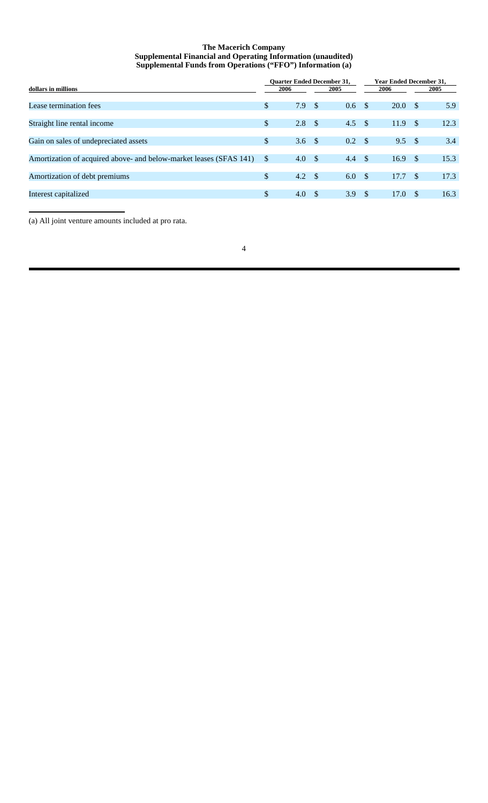# **The Macerich Company Supplemental Financial and Operating Information (unaudited) Supplemental Funds from Operations ("FFO") Information (a)**

|                                                                    |               | <b>Ouarter Ended December 31,</b> |      |     | <b>Year Ended December 31,</b> |      |               |      |
|--------------------------------------------------------------------|---------------|-----------------------------------|------|-----|--------------------------------|------|---------------|------|
| dollars in millions                                                | 2006          |                                   | 2005 |     |                                | 2006 | 2005          |      |
| Lease termination fees                                             | \$            | 7.9                               | - \$ | 0.6 | - \$                           | 20.0 | -S            | 5.9  |
| Straight line rental income                                        | \$            | 2.8                               | - \$ | 4.5 | - \$                           | 11.9 | <sup>\$</sup> | 12.3 |
| Gain on sales of undepreciated assets                              | $\mathbb{S}$  | 3.6 <sup>°</sup>                  |      | 0.2 | - \$                           | 9.5  | -S            | 3.4  |
| Amortization of acquired above- and below-market leases (SFAS 141) | <sup>\$</sup> | 4.0 S                             |      | 4.4 | -\$                            | 16.9 | -S            | 15.3 |
| Amortization of debt premiums                                      | \$            | $4.2 \quad$                       |      | 6.0 | - \$                           | 17.7 | -S            | 17.3 |
| Interest capitalized                                               | \$            | 4.0 S                             |      | 3.9 | - \$                           | 17.0 | <sup>\$</sup> | 16.3 |

(a) All joint venture amounts included at pro rata.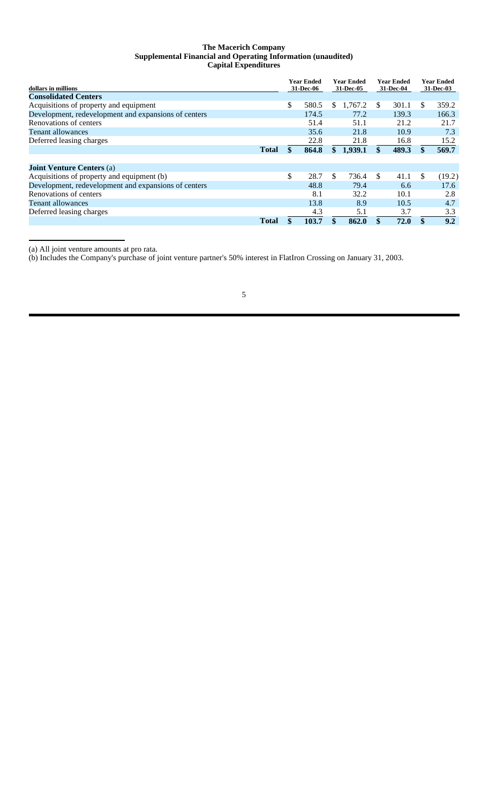#### **The Macerich Company Supplemental Financial and Operating Information (unaudited) Capital Expenditures**

| dollars in millions                                  |              | Year Ended<br>31-Dec-06 |    | <b>Year Ended</b><br>31-Dec-05 |     | <b>Year Ended</b><br>31-Dec-04 |               | Year Ended<br>31-Dec-03 |
|------------------------------------------------------|--------------|-------------------------|----|--------------------------------|-----|--------------------------------|---------------|-------------------------|
| <b>Consolidated Centers</b>                          |              |                         |    |                                |     |                                |               |                         |
| Acquisitions of property and equipment               |              | \$<br>580.5             | \$ | 1,767.2                        | -S  | 301.1                          | \$            | 359.2                   |
| Development, redevelopment and expansions of centers |              | 174.5                   |    | 77.2                           |     | 139.3                          |               | 166.3                   |
| Renovations of centers                               |              | 51.4                    |    | 51.1                           |     | 21.2                           |               | 21.7                    |
| <b>Tenant allowances</b>                             |              | 35.6                    |    | 21.8                           |     | 10.9                           |               | 7.3                     |
| Deferred leasing charges                             |              | 22.8                    |    | 21.8                           |     | 16.8                           |               | 15.2                    |
|                                                      | <b>Total</b> | 864.8                   | \$ | 1,939.1                        |     | 489.3                          |               | 569.7                   |
|                                                      |              |                         |    |                                |     |                                |               |                         |
| <b>Joint Venture Centers (a)</b>                     |              |                         |    |                                |     |                                |               |                         |
| Acquisitions of property and equipment (b)           |              | \$<br>28.7              | S. | 736.4                          | -\$ | 41.1                           | <sup>\$</sup> | (19.2)                  |
| Development, redevelopment and expansions of centers |              | 48.8                    |    | 79.4                           |     | 6.6                            |               | 17.6                    |
| Renovations of centers                               |              | 8.1                     |    | 32.2                           |     | 10.1                           |               | 2.8                     |
| <b>Tenant allowances</b>                             |              | 13.8                    |    | 8.9                            |     | 10.5                           |               | 4.7                     |
| Deferred leasing charges                             |              | 4.3                     |    | 5.1                            |     | 3.7                            |               | 3.3                     |
|                                                      | <b>Total</b> | 103.7                   |    | 862.0                          |     | 72.0                           |               | 9.2                     |

(a) All joint venture amounts at pro rata.

(b) Includes the Company's purchase of joint venture partner's 50% interest in FlatIron Crossing on January 31, 2003.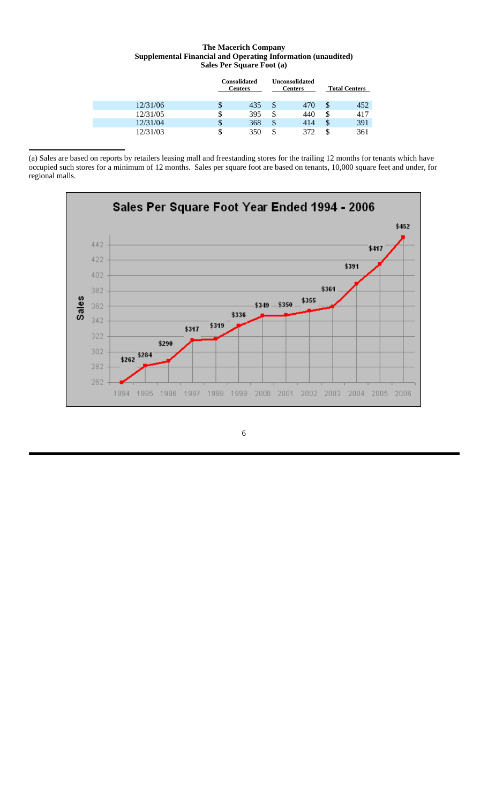# **The Macerich Company Supplemental Financial and Operating Information (unaudited) Sales Per Square Foot (a)**

|          |    | <b>Consolidated</b><br><b>Centers</b> | <b>Unconsolidated</b><br><b>Centers</b> |     |    | <b>Total Centers</b> |
|----------|----|---------------------------------------|-----------------------------------------|-----|----|----------------------|
| 12/31/06 | \$ | 435                                   | S                                       | 470 | \$ | 452                  |
| 12/31/05 | S  | 395                                   | ъ                                       | 440 | J, | 417                  |
| 12/31/04 | \$ | 368                                   | \$                                      | 414 | J  | 391                  |
| 12/31/03 | \$ | 350                                   | S                                       | 372 |    | 361                  |

(a) Sales are based on reports by retailers leasing mall and freestanding stores for the trailing 12 months for tenants which have occupied such stores for a minimum of 12 months. Sales per square foot are based on tenants, 10,000 square feet and under, for regional malls.

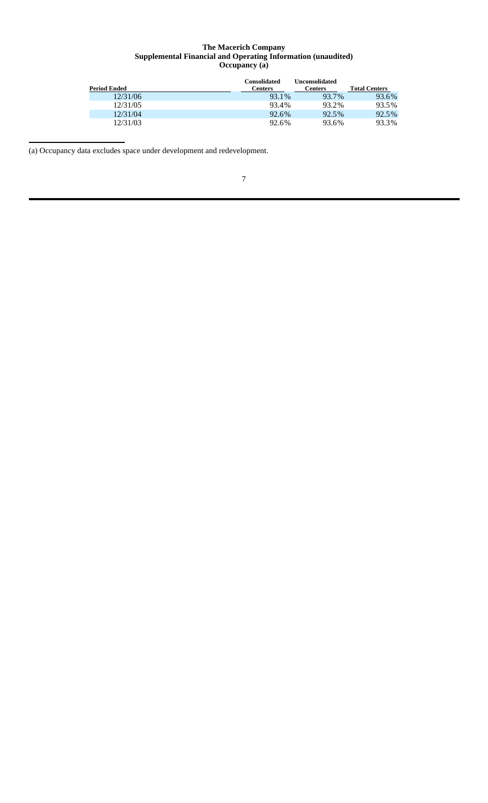#### **The Macerich Company Supplemental Financial and Operating Information (unaudited) Occupancy (a)**

| <b>Period Ended</b> | <b>Consolidated</b><br>Centers | Unconsolidated<br>Centers | <b>Total Centers</b> |
|---------------------|--------------------------------|---------------------------|----------------------|
| 12/31/06            | 93.1%                          | 93.7%                     | 93.6%                |
| 12/31/05            | 93.4%                          | 93.2%                     | 93.5%                |
| 12/31/04            | 92.6%                          | 92.5%                     | 92.5%                |
| 12/31/03            | 92.6%                          | 93.6%                     | 93.3%                |

(a) Occupancy data excludes space under development and redevelopment.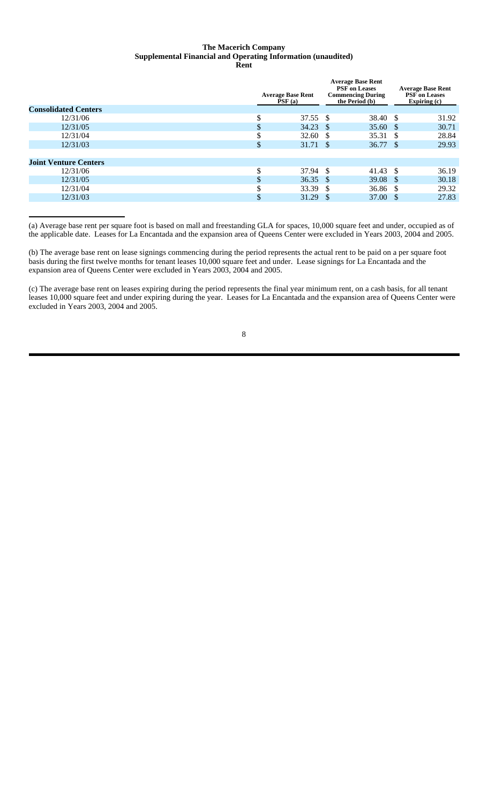#### **The Macerich Company Supplemental Financial and Operating Information (unaudited) Rent**

|                              |        | <b>Average Base Rent</b><br>PSF(a) | <b>Average Base Rent</b><br><b>PSF</b> on Leases<br><b>Commencing During</b><br>the Period (b) |                     | <b>Average Base Rent</b><br><b>PSF</b> on Leases<br>Expiring $(c)$ |       |
|------------------------------|--------|------------------------------------|------------------------------------------------------------------------------------------------|---------------------|--------------------------------------------------------------------|-------|
| <b>Consolidated Centers</b>  |        |                                    |                                                                                                |                     |                                                                    |       |
| 12/31/06                     | ¢<br>Φ | 37.55 \$                           |                                                                                                | 38.40 \$            |                                                                    | 31.92 |
| 12/31/05                     | \$     | 34.23 \$                           |                                                                                                | 35.60 \$            |                                                                    | 30.71 |
| 12/31/04                     | J      | 32.60 \$                           |                                                                                                | 35.31 \$            |                                                                    | 28.84 |
| 12/31/03                     | \$     | 31.71 \$                           |                                                                                                | 36.77 \$            |                                                                    | 29.93 |
|                              |        |                                    |                                                                                                |                     |                                                                    |       |
| <b>Joint Venture Centers</b> |        |                                    |                                                                                                |                     |                                                                    |       |
| 12/31/06                     | Φ      | $37.94$ \$                         |                                                                                                | $41.43 \text{ }$ \$ |                                                                    | 36.19 |
| 12/31/05                     | \$     | $36.35$ \$                         |                                                                                                | $39.08 \quad $$     |                                                                    | 30.18 |
| 12/31/04                     | \$     | 33.39 \$                           |                                                                                                | $36.86$ \$          |                                                                    | 29.32 |
| 12/31/03                     | \$     | 31.29 $\frac{1}{2}$                |                                                                                                | 37.00 $\sqrt{s}$    |                                                                    | 27.83 |
|                              |        |                                    |                                                                                                |                     |                                                                    |       |

(a) Average base rent per square foot is based on mall and freestanding GLA for spaces, 10,000 square feet and under, occupied as of the applicable date. Leases for La Encantada and the expansion area of Queens Center were excluded in Years 2003, 2004 and 2005.

(b) The average base rent on lease signings commencing during the period represents the actual rent to be paid on a per square foot basis during the first twelve months for tenant leases 10,000 square feet and under. Lease signings for La Encantada and the expansion area of Queens Center were excluded in Years 2003, 2004 and 2005.

(c) The average base rent on leases expiring during the period represents the final year minimum rent, on a cash basis, for all tenant leases 10,000 square feet and under expiring during the year. Leases for La Encantada and the expansion area of Queens Center were excluded in Years 2003, 2004 and 2005.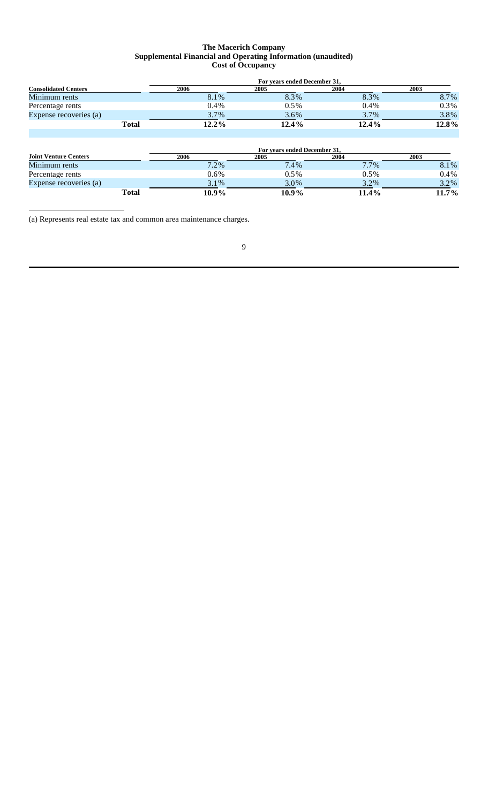# **The Macerich Company Supplemental Financial and Operating Information (unaudited) Cost of Occupancy**

|                             |              | For years ended December 31, |         |          |         |  |  |  |  |  |
|-----------------------------|--------------|------------------------------|---------|----------|---------|--|--|--|--|--|
| <b>Consolidated Centers</b> |              | 2006                         | 2005    | 2004     | 2003    |  |  |  |  |  |
| Minimum rents               |              | 8.1%                         | 8.3%    | 8.3%     | 8.7%    |  |  |  |  |  |
| Percentage rents            |              | $0.4\%$                      | 0.5%    | $0.4\%$  | $0.3\%$ |  |  |  |  |  |
| Expense recoveries (a)      |              | 3.7%                         | $3.6\%$ | 3.7%     | 3.8%    |  |  |  |  |  |
|                             | <b>Total</b> | $12.2\%$                     | 12.4%   | $12.4\%$ | 12.8%   |  |  |  |  |  |

|                              |              |          | For years ended December 31, |         |             |
|------------------------------|--------------|----------|------------------------------|---------|-------------|
| <b>Joint Venture Centers</b> |              | 2006     | 2005                         | 2004    | <b>2003</b> |
| Minimum rents                |              | $7.2\%$  | 7.4%                         | $7.7\%$ | 8.1%        |
| Percentage rents             |              | $0.6\%$  | $0.5\%$                      | $0.5\%$ | $0.4\%$     |
| Expense recoveries (a)       |              | $3.1\%$  | 3.0%                         | 3.2%    | 3.2%        |
|                              | <b>Total</b> | $10.9\%$ | 10.9%                        | 11.4%   | 11.7%       |

(a) Represents real estate tax and common area maintenance charges.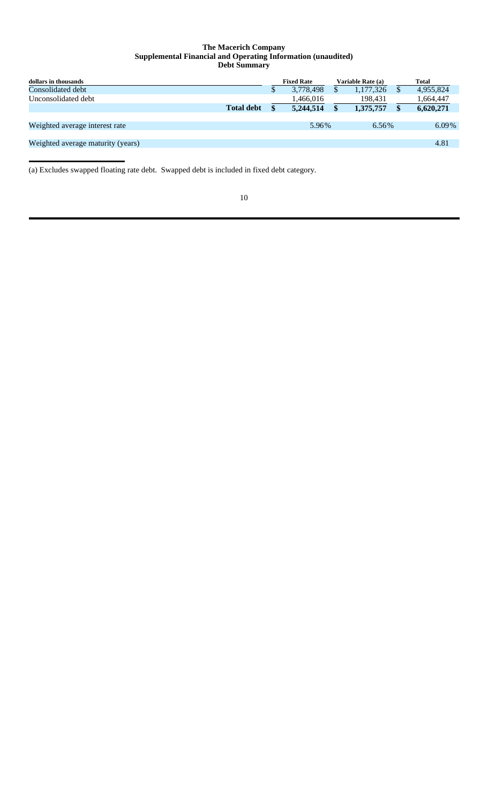#### **The Macerich Company Supplemental Financial and Operating Information (unaudited) Debt Summary**

| dollars in thousands              |                   |    | <b>Fixed Rate</b> | Variable Rate (a) |   | <b>Total</b> |
|-----------------------------------|-------------------|----|-------------------|-------------------|---|--------------|
| Consolidated debt                 |                   | \$ | 3,778,498         | 1,177,326         | S | 4,955,824    |
| Unconsolidated debt               |                   |    | 1,466,016         | 198,431           |   | 1,664,447    |
|                                   | <b>Total debt</b> | S  | 5.244.514         | 1,375,757         |   | 6,620,271    |
|                                   |                   |    |                   |                   |   |              |
| Weighted average interest rate    |                   |    | 5.96%             | $6.56\%$          |   | $6.09\%$     |
|                                   |                   |    |                   |                   |   |              |
| Weighted average maturity (years) |                   |    |                   |                   |   | 4.81         |
|                                   |                   |    |                   |                   |   |              |

(a) Excludes swapped floating rate debt. Swapped debt is included in fixed debt category.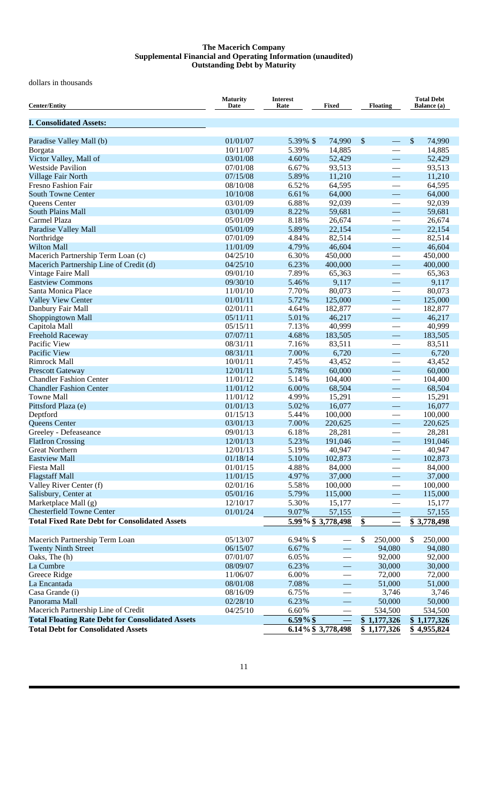#### **The Macerich Company Supplemental Financial and Operating Information (unaudited) Outstanding Debt by Maturity**

dollars in thousands

| <b>Center/Entity</b>                                    | <b>Maturity</b><br>Date | <b>Interest</b><br>Rate | Fixed                    | <b>Floating</b>               | <b>Total Debt</b><br><b>Balance</b> (a) |
|---------------------------------------------------------|-------------------------|-------------------------|--------------------------|-------------------------------|-----------------------------------------|
| <b>I. Consolidated Assets:</b>                          |                         |                         |                          |                               |                                         |
| Paradise Valley Mall (b)                                | 01/01/07                | 5.39% \$                | 74,990                   | $\mathbb{S}$<br>$\frac{1}{2}$ | \$<br>74,990                            |
| Borgata                                                 | 10/11/07                | 5.39%                   | 14,885                   | $\overline{\phantom{0}}$      | 14,885                                  |
| Victor Valley, Mall of                                  | 03/01/08                | 4.60%                   | 52,429                   | $\overline{\phantom{m}}$      | 52,429                                  |
| <b>Westside Pavilion</b>                                | 07/01/08                | 6.67%                   | 93,513                   | $\overline{\phantom{0}}$      | 93,513                                  |
| Village Fair North                                      | 07/15/08                | 5.89%                   | 11,210                   | $\overline{\phantom{m}}$      | 11,210                                  |
| <b>Fresno Fashion Fair</b>                              | 08/10/08                | 6.52%                   | 64,595                   |                               | 64,595                                  |
| <b>South Towne Center</b>                               | 10/10/08                | 6.61%                   | 64,000                   |                               | 64,000                                  |
| Queens Center                                           | 03/01/09                | 6.88%                   | 92,039                   |                               | 92,039                                  |
| <b>South Plains Mall</b>                                | 03/01/09                | 8.22%                   | 59,681                   | $\overline{\phantom{0}}$      | 59,681                                  |
| Carmel Plaza                                            | 05/01/09                | 8.18%                   | 26,674                   |                               | 26,674                                  |
| Paradise Valley Mall                                    | 05/01/09                | 5.89%                   | 22,154                   | $\overline{\phantom{m}}$      | 22,154                                  |
| Northridge                                              | 07/01/09                | 4.84%                   | 82,514                   | $\overbrace{\hspace{15em}}$   | 82,514                                  |
| <b>Wilton Mall</b>                                      | 11/01/09                | 4.79%                   | 46,604                   |                               | 46,604                                  |
| Macerich Partnership Term Loan (c)                      | 04/25/10                | 6.30%                   | 450,000                  |                               | 450,000                                 |
| Macerich Partnership Line of Credit (d)                 | 04/25/10                | 6.23%                   | 400,000                  |                               | 400,000                                 |
| Vintage Faire Mall                                      | 09/01/10                | 7.89%                   | 65,363                   |                               | 65,363                                  |
| <b>Eastview Commons</b>                                 | 09/30/10                | 5.46%                   | 9,117                    |                               | 9,117                                   |
| Santa Monica Place                                      | 11/01/10                | 7.70%                   | 80,073                   | $\overbrace{\phantom{12333}}$ | 80,073                                  |
| <b>Valley View Center</b>                               | 01/01/11                | 5.72%                   | 125,000                  | $\overline{\phantom{0}}$      | 125,000                                 |
| Danbury Fair Mall                                       | 02/01/11                | 4.64%                   | 182,877                  |                               | 182,877                                 |
| Shoppingtown Mall                                       | 05/11/11                | 5.01%                   | 46,217                   |                               | 46,217                                  |
| Capitola Mall                                           | 05/15/11                | 7.13%                   | 40,999                   | $\overbrace{\phantom{12333}}$ | 40,999                                  |
| Freehold Raceway                                        | 07/07/11                | 4.68%                   | 183,505                  |                               | 183,505                                 |
| Pacific View<br>Pacific View                            | 08/31/11                | 7.16%                   | 83,511                   | $\overbrace{\phantom{12333}}$ | 83,511                                  |
| <b>Rimrock Mall</b>                                     | 08/31/11<br>10/01/11    | 7.00%<br>7.45%          | 6,720<br>43,452          | $\overline{\phantom{0}}$      | 6,720<br>43,452                         |
| <b>Prescott Gateway</b>                                 | 12/01/11                | 5.78%                   | 60,000                   |                               | 60,000                                  |
| <b>Chandler Fashion Center</b>                          | 11/01/12                | 5.14%                   | 104,400                  |                               | 104,400                                 |
| <b>Chandler Fashion Center</b>                          | 11/01/12                | 6.00%                   | 68,504                   |                               | 68,504                                  |
| <b>Towne Mall</b>                                       | 11/01/12                | 4.99%                   | 15,291                   |                               | 15,291                                  |
| Pittsford Plaza (e)                                     | 01/01/13                | 5.02%                   | 16,077                   | $\overline{\phantom{0}}$      | 16,077                                  |
| Deptford                                                | 01/15/13                | 5.44%                   | 100,000                  |                               | 100,000                                 |
| Queens Center                                           | 03/01/13                | 7.00%                   | 220,625                  | $\overline{\phantom{0}}$      | 220,625                                 |
| Greeley - Defeaseance                                   | 09/01/13                | 6.18%                   | 28,281                   |                               | 28,281                                  |
| <b>FlatIron Crossing</b>                                | 12/01/13                | 5.23%                   | 191,046                  |                               | 191,046                                 |
| <b>Great Northern</b>                                   | 12/01/13                | 5.19%                   | 40,947                   |                               | 40,947                                  |
| <b>Eastview Mall</b>                                    | 01/18/14                | 5.10%                   | 102,873                  |                               | 102,873                                 |
| Fiesta Mall                                             | 01/01/15                | 4.88%                   | 84,000                   |                               | 84,000                                  |
| <b>Flagstaff Mall</b>                                   | 11/01/15                | 4.97%                   | 37,000                   | $\overline{\phantom{0}}$      | 37,000                                  |
| Valley River Center (f)                                 | 02/01/16                | 5.58%                   | 100,000                  | $\overline{\phantom{0}}$      | 100,000                                 |
| Salisbury, Center at                                    | 05/01/16                | 5.79%                   | 115,000                  |                               | 115,000                                 |
| Marketplace Mall (g)                                    | 12/10/17                | 5.30%                   | 15,177                   |                               | 15,177                                  |
| <b>Chesterfield Towne Center</b>                        | 01/01/24                | 9.07%                   | 57,155                   |                               | 57,155                                  |
| <b>Total Fixed Rate Debt for Consolidated Assets</b>    |                         |                         | 5.99% \$3,778,498        | \$                            | \$3,778,498                             |
| Macerich Partnership Term Loan                          | 05/13/07                | 6.94% \$                |                          | 250,000                       | 250,000<br>S                            |
| <b>Twenty Ninth Street</b>                              | 06/15/07                | 6.67%                   |                          | \$<br>94,080                  | 94,080                                  |
| Oaks, The (h)                                           | 07/01/07                | 6.05%                   | $\overline{\phantom{0}}$ | 92,000                        | 92,000                                  |
| La Cumbre                                               | 08/09/07                | 6.23%                   | $\overline{\phantom{0}}$ | 30,000                        | 30,000                                  |
| Greece Ridge                                            | 11/06/07                | 6.00%                   |                          | 72,000                        | 72,000                                  |
| La Encantada                                            | 08/01/08                | 7.08%                   |                          | 51,000                        | 51,000                                  |
| Casa Grande (i)                                         | 08/16/09                | 6.75%                   |                          | 3,746                         | 3,746                                   |
| Panorama Mall                                           | 02/28/10                | 6.23%                   |                          | 50,000                        | 50,000                                  |
| Macerich Partnership Line of Credit                     | 04/25/10                | 6.60%                   |                          | 534,500                       | 534,500                                 |
| <b>Total Floating Rate Debt for Consolidated Assets</b> |                         | $6.59\%$ \$             |                          | \$1,177,326                   | \$1,177,326                             |
| <b>Total Debt for Consolidated Assets</b>               |                         |                         | 6.14% \$3,778,498        | \$1,177,326                   | \$4,955,824                             |
|                                                         |                         |                         |                          |                               |                                         |